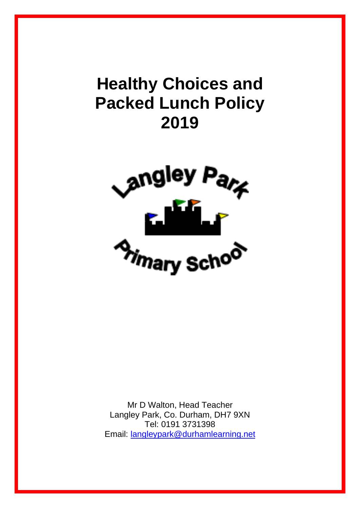# **Healthy Choices and Packed Lunch Policy 2019**



Mr D Walton, Head Teacher Langley Park, Co. Durham, DH7 9XN Tel: 0191 3731398 Email: [langleypark@durhamlearning.net](mailto:langleypark@durhamlearning.net)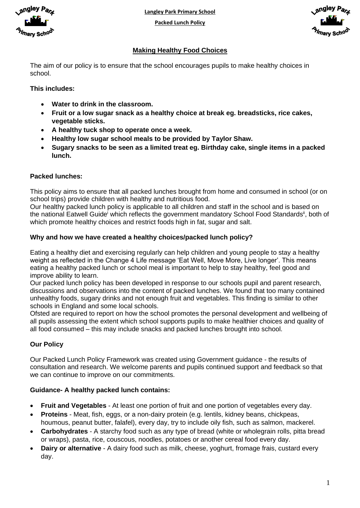

**Langley Park Primary School**

**Packed Lunch Policy**



# **Making Healthy Food Choices**

The aim of our policy is to ensure that the school encourages pupils to make healthy choices in school.

## **This includes:**

- **Water to drink in the classroom.**
- **Fruit or a low sugar snack as a healthy choice at break eg. breadsticks, rice cakes, vegetable sticks.**
- **A healthy tuck shop to operate once a week.**
- **Healthy low sugar school meals to be provided by Taylor Shaw.**
- **Sugary snacks to be seen as a limited treat eg. Birthday cake, single items in a packed lunch.**

## **Packed lunches:**

This policy aims to ensure that all packed lunches brought from home and consumed in school (or on school trips) provide children with healthy and nutritious food.

Our healthy packed lunch policy is applicable to all children and staff in the school and is based on the national Eatwell Guide<sup>i</sup> which reflects the government mandatory School Food Standards<sup>ii</sup>, both of which promote healthy choices and restrict foods high in fat, sugar and salt.

## **Why and how we have created a healthy choices/packed lunch policy?**

Eating a healthy diet and exercising regularly can help children and young people to stay a healthy weight as reflected in the Change 4 Life message 'Eat Well, Move More, Live longer'. This means eating a healthy packed lunch or school meal is important to help to stay healthy, feel good and improve ability to learn.

Our packed lunch policy has been developed in response to our schools pupil and parent research, discussions and observations into the content of packed lunches. We found that too many contained unhealthy foods, sugary drinks and not enough fruit and vegetables. This finding is similar to other schools in England and some local schools.

Ofsted are required to report on how the school promotes the personal development and wellbeing of all pupils assessing the extent which school supports pupils to make healthier choices and quality of all food consumed – this may include snacks and packed lunches brought into school.

# **Our Policy**

Our Packed Lunch Policy Framework was created using Government guidance - the results of consultation and research. We welcome parents and pupils continued support and feedback so that we can continue to improve on our commitments.

# **Guidance- A healthy packed lunch contains:**

- **Fruit and Vegetables** At least one portion of fruit and one portion of vegetables every day.
- **Proteins** Meat, fish, eggs, or a non-dairy protein (e.g. lentils, kidney beans, chickpeas, houmous, peanut butter, falafel), every day, try to include oily fish, such as salmon, mackerel.
- **Carbohydrates** A starchy food such as any type of bread (white or wholegrain rolls, pitta bread or wraps), pasta, rice, couscous, noodles, potatoes or another cereal food every day.
- **Dairy or alternative** A dairy food such as milk, cheese, yoghurt, fromage frais, custard every day.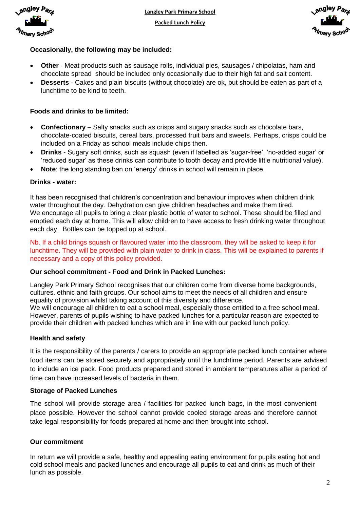



# **Occasionally, the following may be included:**

- **Other** Meat products such as sausage rolls, individual pies, sausages / chipolatas, ham and chocolate spread should be included only occasionally due to their high fat and salt content.
- **Desserts** Cakes and plain biscuits (without chocolate) are ok, but should be eaten as part of a lunchtime to be kind to teeth.

# **Foods and drinks to be limited:**

- **Confectionary** Salty snacks such as crisps and sugary snacks such as chocolate bars, chocolate-coated biscuits, cereal bars, processed fruit bars and sweets. Perhaps, crisps could be included on a Friday as school meals include chips then.
- **Drinks** Sugary soft drinks, such as squash (even if labelled as 'sugar-free', 'no-added sugar' or 'reduced sugar' as these drinks can contribute to tooth decay and provide little nutritional value).
- **Note**: the long standing ban on 'energy' drinks in school will remain in place.

## **Drinks - water:**

It has been recognised that children's concentration and behaviour improves when children drink water throughout the day. Dehydration can give children headaches and make them tired. We encourage all pupils to bring a clear plastic bottle of water to school. These should be filled and emptied each day at home. This will allow children to have access to fresh drinking water throughout each day. Bottles can be topped up at school.

Nb. If a child brings squash or flavoured water into the classroom, they will be asked to keep it for lunchtime. They will be provided with plain water to drink in class. This will be explained to parents if necessary and a copy of this policy provided.

# **Our school commitment - Food and Drink in Packed Lunches:**

Langley Park Primary School recognises that our children come from diverse home backgrounds, cultures, ethnic and faith groups. Our school aims to meet the needs of all children and ensure equality of provision whilst taking account of this diversity and difference. We will encourage all children to eat a school meal, especially those entitled to a free school meal. However, parents of pupils wishing to have packed lunches for a particular reason are expected to

provide their children with packed lunches which are in line with our packed lunch policy.

## **Health and safety**

It is the responsibility of the parents / carers to provide an appropriate packed lunch container where food items can be stored securely and appropriately until the lunchtime period. Parents are advised to include an ice pack. Food products prepared and stored in ambient temperatures after a period of time can have increased levels of bacteria in them.

## **Storage of Packed Lunches**

The school will provide storage area / facilities for packed lunch bags, in the most convenient place possible. However the school cannot provide cooled storage areas and therefore cannot take legal responsibility for foods prepared at home and then brought into school.

# **Our commitment**

In return we will provide a safe, healthy and appealing eating environment for pupils eating hot and cold school meals and packed lunches and encourage all pupils to eat and drink as much of their lunch as possible.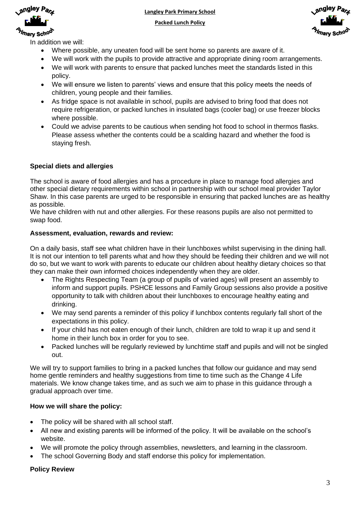

**Langley Park Primary School**

**Packed Lunch Policy**



In addition we will:

- Where possible, any uneaten food will be sent home so parents are aware of it.
- We will work with the pupils to provide attractive and appropriate dining room arrangements.
- We will work with parents to ensure that packed lunches meet the standards listed in this policy.
- We will ensure we listen to parents' views and ensure that this policy meets the needs of children, young people and their families.
- As fridge space is not available in school, pupils are advised to bring food that does not require refrigeration, or packed lunches in insulated bags (cooler bag) or use freezer blocks where possible.
- Could we advise parents to be cautious when sending hot food to school in thermos flasks. Please assess whether the contents could be a scalding hazard and whether the food is staying fresh.

## **Special diets and allergies**

The school is aware of food allergies and has a procedure in place to manage food allergies and other special dietary requirements within school in partnership with our school meal provider Taylor Shaw. In this case parents are urged to be responsible in ensuring that packed lunches are as healthy as possible.

We have children with nut and other allergies. For these reasons pupils are also not permitted to swap food.

#### **Assessment, evaluation, rewards and review:**

On a daily basis, staff see what children have in their lunchboxes whilst supervising in the dining hall. It is not our intention to tell parents what and how they should be feeding their children and we will not do so, but we want to work with parents to educate our children about healthy dietary choices so that they can make their own informed choices independently when they are older.

- The Rights Respecting Team (a group of pupils of varied ages) will present an assembly to inform and support pupils. PSHCE lessons and Family Group sessions also provide a positive opportunity to talk with children about their lunchboxes to encourage healthy eating and drinking.
- We may send parents a reminder of this policy if lunchbox contents regularly fall short of the expectations in this policy.
- If your child has not eaten enough of their lunch, children are told to wrap it up and send it home in their lunch box in order for you to see.
- Packed lunches will be regularly reviewed by lunchtime staff and pupils and will not be singled out.

We will try to support families to bring in a packed lunches that follow our guidance and may send home gentle reminders and healthy suggestions from time to time such as the Change 4 Life materials. We know change takes time, and as such we aim to phase in this guidance through a gradual approach over time.

## **How we will share the policy:**

- The policy will be shared with all school staff.
- All new and existing parents will be informed of the policy. It will be available on the school's website.
- We will promote the policy through assemblies, newsletters, and learning in the classroom.
- The school Governing Body and staff endorse this policy for implementation.

## **Policy Review**